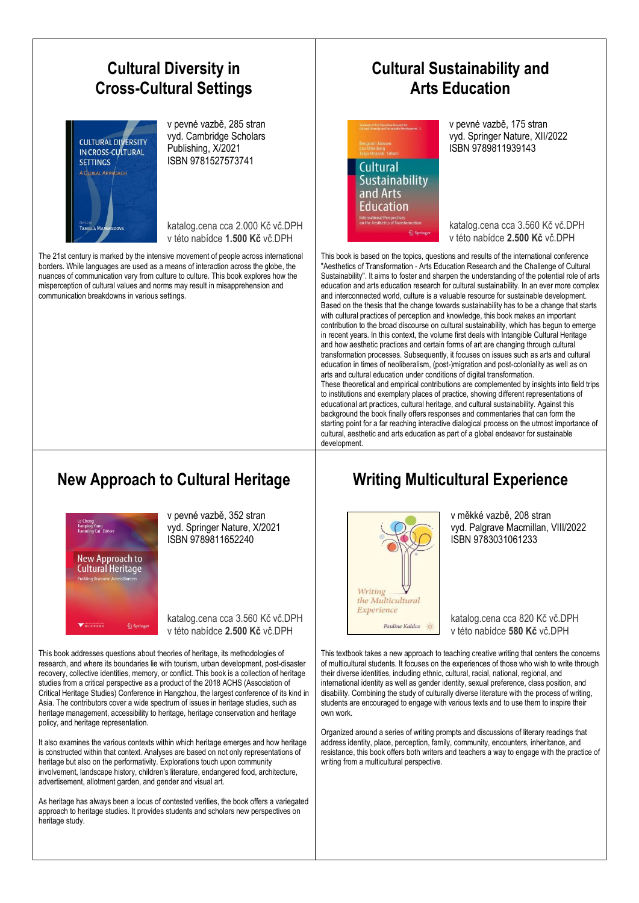

development.

#### **New Approach to Cultural Heritage**



v pevné vazbě, 352 stran vyd. Springer Nature, X/2021 ISBN 9789811652240

katalog.cena cca 3.560 Kč vč.DPH v této nabídce **2.500 Kč** vč.DPH

This book addresses questions about theories of heritage, its methodologies of research, and where its boundaries lie with tourism, urban development, post-disaster recovery, collective identities, memory, or conflict. This book is a collection of heritage studies from a critical perspective as a product of the 2018 ACHS (Association of Critical Heritage Studies) Conference in Hangzhou, the largest conference of its kind in Asia. The contributors cover a wide spectrum of issues in heritage studies, such as heritage management, accessibility to heritage, heritage conservation and heritage policy, and heritage representation.

It also examines the various contexts within which heritage emerges and how heritage is constructed within that context. Analyses are based on not only representations of heritage but also on the performativity. Explorations touch upon community involvement, landscape history, children's literature, endangered food, architecture, advertisement, allotment garden, and gender and visual art.

As heritage has always been a locus of contested verities, the book offers a variegated approach to heritage studies. It provides students and scholars new perspectives on heritage study.

### **Writing Multicultural Experience**

education in times of neoliberalism, (post-)migration and post-coloniality as well as on

These theoretical and empirical contributions are complemented by insights into field trips to institutions and exemplary places of practice, showing different representations of educational art practices, cultural heritage, and cultural sustainability. Against this background the book finally offers responses and commentaries that can form the starting point for a far reaching interactive dialogical process on the utmost importance of cultural, aesthetic and arts education as part of a global endeavor for sustainable

arts and cultural education under conditions of digital transformation.



ISBN 9783031061233

vyd. Palgrave Macmillan, VIII/2022

v měkké vazbě, 208 stran

katalog.cena cca 820 Kč vč.DPH v této nabídce **580 Kč** vč.DPH

This textbook takes a new approach to teaching creative writing that centers the concerns of multicultural students. It focuses on the experiences of those who wish to write through their diverse identities, including ethnic, cultural, racial, national, regional, and international identity as well as gender identity, sexual preference, class position, and disability. Combining the study of culturally diverse literature with the process of writing, students are encouraged to engage with various texts and to use them to inspire their own work.

Organized around a series of writing prompts and discussions of literary readings that address identity, place, perception, family, community, encounters, inheritance, and resistance, this book offers both writers and teachers a way to engage with the practice of writing from a multicultural perspective.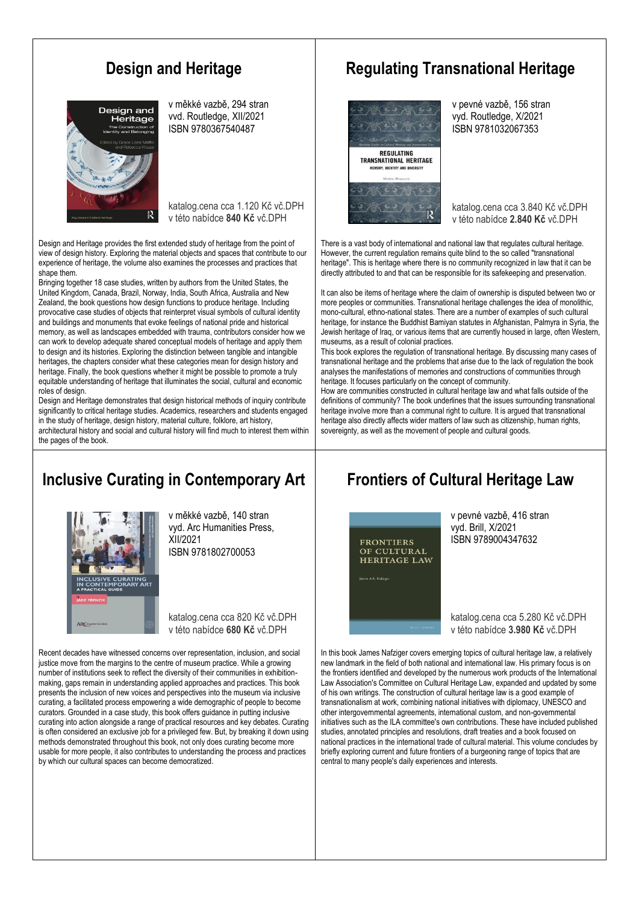# **Design and Heritage**



v měkké vazbě, 294 stran vvd. Routledge, XII/2021 ISBN 9780367540487

katalog.cena cca 1.120 Kč vč.DPH v této nabídce **840 Kč** vč.DPH

Design and Heritage provides the first extended study of heritage from the point of view of design history. Exploring the material objects and spaces that contribute to our experience of heritage, the volume also examines the processes and practices that shape them.

Bringing together 18 case studies, written by authors from the United States, the United Kingdom, Canada, Brazil, Norway, India, South Africa, Australia and New Zealand, the book questions how design functions to produce heritage. Including provocative case studies of objects that reinterpret visual symbols of cultural identity and buildings and monuments that evoke feelings of national pride and historical memory, as well as landscapes embedded with trauma, contributors consider how we can work to develop adequate shared conceptual models of heritage and apply them to design and its histories. Exploring the distinction between tangible and intangible heritages, the chapters consider what these categories mean for design history and heritage. Finally, the book questions whether it might be possible to promote a truly equitable understanding of heritage that illuminates the social, cultural and economic roles of design.

Design and Heritage demonstrates that design historical methods of inquiry contribute significantly to critical heritage studies. Academics, researchers and students engaged in the study of heritage, design history, material culture, folklore, art history, architectural history and social and cultural history will find much to interest them within the pages of the book.

# **Inclusive Curating in Contemporary Art**



v měkké vazbě, 140 stran vyd. Arc Humanities Press, XII/2021 ISBN 9781802700053

katalog.cena cca 820 Kč vč.DPH v této nabídce **680 Kč** vč.DPH

Recent decades have witnessed concerns over representation, inclusion, and social justice move from the margins to the centre of museum practice. While a growing number of institutions seek to reflect the diversity of their communities in exhibitionmaking, gaps remain in understanding applied approaches and practices. This book presents the inclusion of new voices and perspectives into the museum via inclusive curating, a facilitated process empowering a wide demographic of people to become curators. Grounded in a case study, this book offers guidance in putting inclusive curating into action alongside a range of practical resources and key debates. Curating is often considered an exclusive job for a privileged few. But, by breaking it down using methods demonstrated throughout this book, not only does curating become more usable for more people, it also contributes to understanding the process and practices by which our cultural spaces can become democratized.

#### **Regulating Transnational Heritage**



v pevné vazbě, 156 stran vyd. Routledge, X/2021 ISBN 9781032067353

katalog.cena cca 3.840 Kč vč.DPH v této nabídce **2.840 Kč** vč.DPH

There is a vast body of international and national law that regulates cultural heritage. However, the current regulation remains quite blind to the so called "transnational heritage". This is heritage where there is no community recognized in law that it can be directly attributed to and that can be responsible for its safekeeping and preservation.

It can also be items of heritage where the claim of ownership is disputed between two or more peoples or communities. Transnational heritage challenges the idea of monolithic, mono-cultural, ethno-national states. There are a number of examples of such cultural heritage, for instance the Buddhist Bamiyan statutes in Afghanistan, Palmyra in Syria, the Jewish heritage of Iraq, or various items that are currently housed in large, often Western, museums, as a result of colonial practices.

This book explores the regulation of transnational heritage. By discussing many cases of transnational heritage and the problems that arise due to the lack of regulation the book analyses the manifestations of memories and constructions of communities through heritage. It focuses particularly on the concept of community.

How are communities constructed in cultural heritage law and what falls outside of the definitions of community? The book underlines that the issues surrounding transnational heritage involve more than a communal right to culture. It is argued that transnational heritage also directly affects wider matters of law such as citizenship, human rights, sovereignty, as well as the movement of people and cultural goods.

### **Frontiers of Cultural Heritage Law**



v pevné vazbě, 416 stran vyd. Brill, X/2021 ISBN 9789004347632

katalog.cena cca 5.280 Kč vč.DPH v této nabídce **3.980 Kč** vč.DPH

In this book James Nafziger covers emerging topics of cultural heritage law, a relatively new landmark in the field of both national and international law. His primary focus is on the frontiers identified and developed by the numerous work products of the International Law Association's Committee on Cultural Heritage Law, expanded and updated by some of his own writings. The construction of cultural heritage law is a good example of transnationalism at work, combining national initiatives with diplomacy, UNESCO and other intergovernmental agreements, international custom, and non-governmental initiatives such as the ILA committee's own contributions. These have included published studies, annotated principles and resolutions, draft treaties and a book focused on national practices in the international trade of cultural material. This volume concludes by briefly exploring current and future frontiers of a burgeoning range of topics that are central to many people's daily experiences and interests.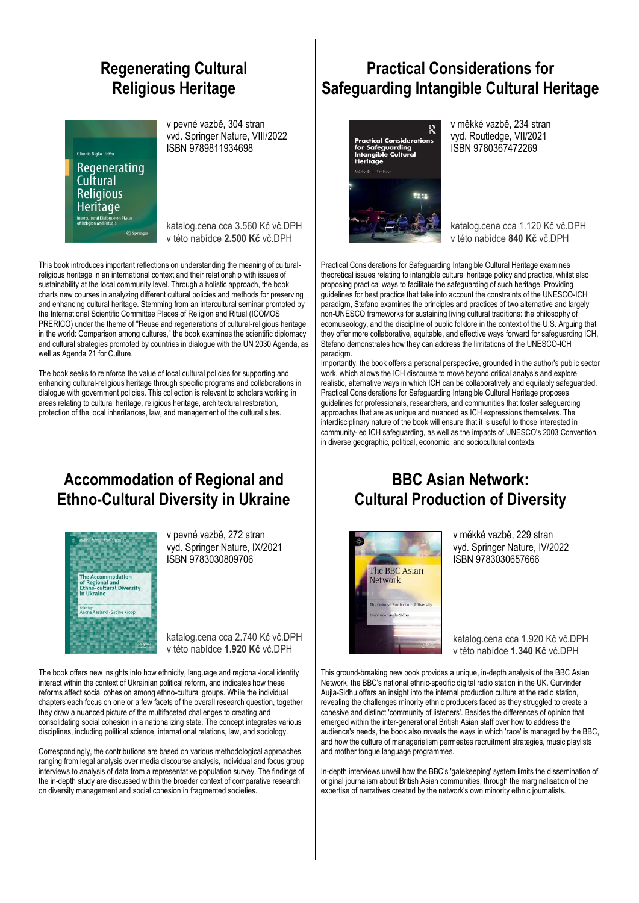# **Regenerating Cultural Religious Heritage**

Olimnia Niglio *Editor* Regenerating Cultural **Religious Heritage** Intercultural Dialogue or<br>of Religion and Rituals

v pevné vazbě, 304 stran vvd. Springer Nature, VIII/2022 ISBN 9789811934698

katalog.cena cca 3.560 Kč vč.DPH v této nabídce **2.500 Kč** vč.DPH

This book introduces important reflections on understanding the meaning of culturalreligious heritage in an international context and their relationship with issues of sustainability at the local community level. Through a holistic approach, the book charts new courses in analyzing different cultural policies and methods for preserving and enhancing cultural heritage. Stemming from an intercultural seminar promoted by the International Scientific Committee Places of Religion and Ritual (ICOMOS PRERICO) under the theme of "Reuse and regenerations of cultural-religious heritage in the world: Comparison among cultures," the book examines the scientific diplomacy and cultural strategies promoted by countries in dialogue with the UN 2030 Agenda, as well as Agenda 21 for Culture.

The book seeks to reinforce the value of local cultural policies for supporting and enhancing cultural-religious heritage through specific programs and collaborations in dialogue with government policies. This collection is relevant to scholars working in areas relating to cultural heritage, religious heritage, architectural restoration, protection of the local inheritances, law, and management of the cultural sites.

# **Practical Considerations for Safeguarding Intangible Cultural Heritage**



v měkké vazbě, 234 stran vyd. Routledge, VII/2021 ISBN 9780367472269

katalog.cena cca 1.120 Kč vč.DPH v této nabídce **840 Kč** vč.DPH

Practical Considerations for Safeguarding Intangible Cultural Heritage examines theoretical issues relating to intangible cultural heritage policy and practice, whilst also proposing practical ways to facilitate the safeguarding of such heritage. Providing guidelines for best practice that take into account the constraints of the UNESCO-ICH paradigm, Stefano examines the principles and practices of two alternative and largely non-UNESCO frameworks for sustaining living cultural traditions: the philosophy of ecomuseology, and the discipline of public folklore in the context of the U.S. Arguing that they offer more collaborative, equitable, and effective ways forward for safeguarding ICH, Stefano demonstrates how they can address the limitations of the UNESCO-ICH paradigm.

Importantly, the book offers a personal perspective, grounded in the author's public sector work, which allows the ICH discourse to move beyond critical analysis and explore realistic, alternative ways in which ICH can be collaboratively and equitably safeguarded. Practical Considerations for Safeguarding Intangible Cultural Heritage proposes guidelines for professionals, researchers, and communities that foster safeguarding approaches that are as unique and nuanced as ICH expressions themselves. The interdisciplinary nature of the book will ensure that it is useful to those interested in community-led ICH safeguarding, as well as the impacts of UNESCO's 2003 Convention, in diverse geographic, political, economic, and sociocultural contexts.

#### **Accommodation of Regional and Ethno-Cultural Diversity in Ukraine**



v pevné vazbě, 272 stran vyd. Springer Nature, IX/2021 ISBN 9783030809706

katalog.cena cca 2.740 Kč vč.DPH v této nabídce **1.920 Kč** vč.DPH

The book offers new insights into how ethnicity, language and regional-local identity interact within the context of Ukrainian political reform, and indicates how these reforms affect social cohesion among ethno-cultural groups. While the individual chapters each focus on one or a few facets of the overall research question, together they draw a nuanced picture of the multifaceted challenges to creating and consolidating social cohesion in a nationalizing state. The concept integrates various disciplines, including political science, international relations, law, and sociology.

Correspondingly, the contributions are based on various methodological approaches, ranging from legal analysis over media discourse analysis, individual and focus group interviews to analysis of data from a representative population survey. The findings of the in-depth study are discussed within the broader context of comparative research on diversity management and social cohesion in fragmented societies.

# **BBC Asian Network: Cultural Production of Diversity**



v měkké vazbě, 229 stran vyd. Springer Nature, IV/2022 ISBN 9783030657666

katalog.cena cca 1.920 Kč vč.DPH v této nabídce **1.340 Kč** vč.DPH

This ground-breaking new book provides a unique, in-depth analysis of the BBC Asian Network, the BBC's national ethnic-specific digital radio station in the UK. Gurvinder Aujla-Sidhu offers an insight into the internal production culture at the radio station, revealing the challenges minority ethnic producers faced as they struggled to create a cohesive and distinct 'community of listeners'. Besides the differences of opinion that emerged within the inter-generational British Asian staff over how to address the audience's needs, the book also reveals the ways in which 'race' is managed by the BBC, and how the culture of managerialism permeates recruitment strategies, music playlists and mother tongue language programmes.

In-depth interviews unveil how the BBC's 'gatekeeping' system limits the dissemination of original journalism about British Asian communities, through the marginalisation of the expertise of narratives created by the network's own minority ethnic journalists.